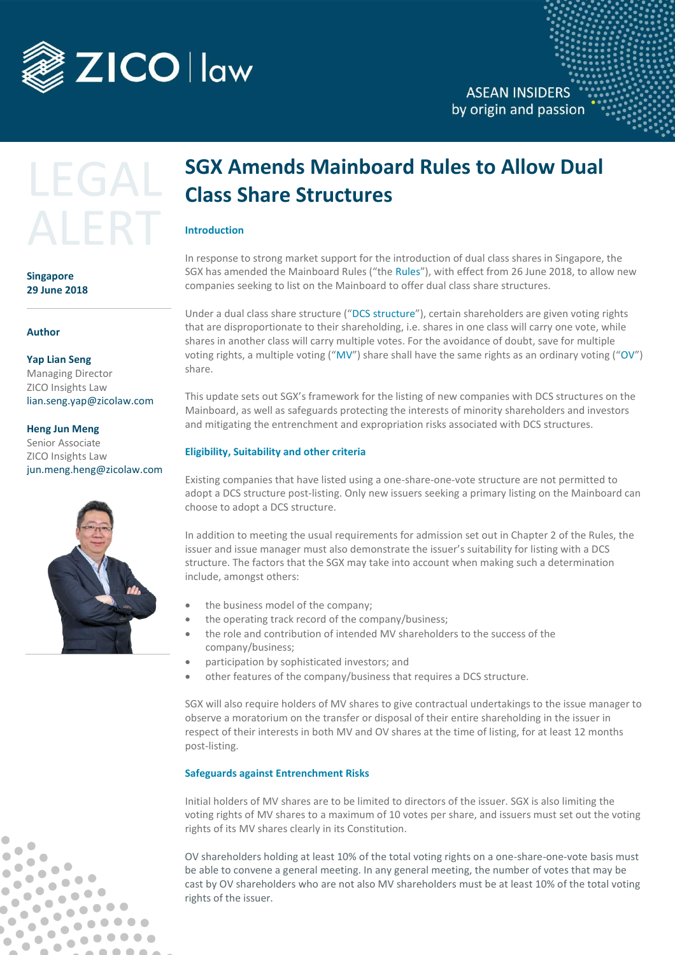

### **ASEAN INSIDERS** by origin and passion

# LEGAI ALER'

**Singapore 29 June 2018**

**Author**

#### **Yap Lian Seng** Managing Director ZICO Insights Law [lian.seng.yap@zicolaw.com](mailto:lian.seng.yap@zicolaw.com)

**Heng Jun Meng** 

Senior Associate ZICO Insights Law jun.meng.heng@zicolaw.com



 $\bullet$   $\bullet$ 

 $\bullet$   $\bullet$ 

 $\bullet$ 

Ô

 $\begin{array}{ccc} \bullet & \bullet & \bullet \\ \bullet & \bullet & \bullet \end{array}$ 

 $\bullet$ b

 $\bullet$  $\bullet$   $\color{green}\bullet$ 

 $\qquad \qquad \blacksquare$ 

 $\qquad \qquad \Box$ 

 $\bullet$ 

 $\begin{array}{ccc} \bullet & \bullet & \bullet \\ \bullet & \bullet & \bullet \end{array}$  $\bullet$ 

 $\bullet$  $\bullet$ 

## **SGX Amends Mainboard Rules to Allow Dual Class Share Structures**

#### **Introduction**

In response to strong market support for the introduction of dual class shares in Singapore, the SGX has amended the Mainboard Rules ("the Rules"), with effect from 26 June 2018, to allow new companies seeking to list on the Mainboard to offer dual class share structures.

Under a dual class share structure ("DCS structure"), certain shareholders are given voting rights that are disproportionate to their shareholding, i.e. shares in one class will carry one vote, while shares in another class will carry multiple votes. For the avoidance of doubt, save for multiple voting rights, a multiple voting ("MV") share shall have the same rights as an ordinary voting ("OV") share.

This update sets out SGX's framework for the listing of new companies with DCS structures on the Mainboard, as well as safeguards protecting the interests of minority shareholders and investors and mitigating the entrenchment and expropriation risks associated with DCS structures.

#### **Eligibility, Suitability and other criteria**

Existing companies that have listed using a one-share-one-vote structure are not permitted to adopt a DCS structure post-listing. Only new issuers seeking a primary listing on the Mainboard can choose to adopt a DCS structure.

In addition to meeting the usual requirements for admission set out in Chapter 2 of the Rules, the issuer and issue manager must also demonstrate the issuer's suitability for listing with a DCS structure. The factors that the SGX may take into account when making such a determination include, amongst others:

- the business model of the company;
- the operating track record of the company/business;
- the role and contribution of intended MV shareholders to the success of the company/business;
- participation by sophisticated investors; and
- other features of the company/business that requires a DCS structure.

SGX will also require holders of MV shares to give contractual undertakings to the issue manager to observe a moratorium on the transfer or disposal of their entire shareholding in the issuer in respect of their interests in both MV and OV shares at the time of listing, for at least 12 months post-listing.

#### **Safeguards against Entrenchment Risks**

Initial holders of MV shares are to be limited to directors of the issuer. SGX is also limiting the voting rights of MV shares to a maximum of 10 votes per share, and issuers must set out the voting rights of its MV shares clearly in its Constitution.

OV shareholders holding at least 10% of the total voting rights on a one-share-one-vote basis must be able to convene a general meeting. In any general meeting, the number of votes that may be cast by OV shareholders who are not also MV shareholders must be at least 10% of the total voting rights of the issuer.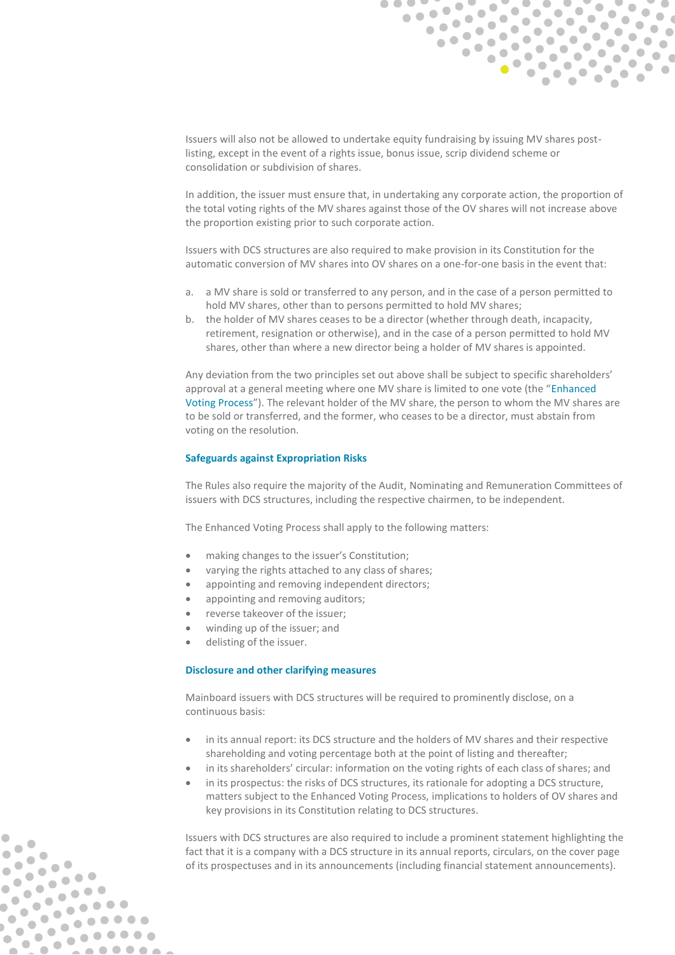

Issuers will also not be allowed to undertake equity fundraising by issuing MV shares postlisting, except in the event of a rights issue, bonus issue, scrip dividend scheme or consolidation or subdivision of shares.

In addition, the issuer must ensure that, in undertaking any corporate action, the proportion of the total voting rights of the MV shares against those of the OV shares will not increase above the proportion existing prior to such corporate action.

Issuers with DCS structures are also required to make provision in its Constitution for the automatic conversion of MV shares into OV shares on a one-for-one basis in the event that:

- a. a MV share is sold or transferred to any person, and in the case of a person permitted to hold MV shares, other than to persons permitted to hold MV shares;
- b. the holder of MV shares ceases to be a director (whether through death, incapacity, retirement, resignation or otherwise), and in the case of a person permitted to hold MV shares, other than where a new director being a holder of MV shares is appointed.

Any deviation from the two principles set out above shall be subject to specific shareholders' approval at a general meeting where one MV share is limited to one vote (the "Enhanced Voting Process"). The relevant holder of the MV share, the person to whom the MV shares are to be sold or transferred, and the former, who ceases to be a director, must abstain from voting on the resolution.

#### **Safeguards against Expropriation Risks**

The Rules also require the majority of the Audit, Nominating and Remuneration Committees of issuers with DCS structures, including the respective chairmen, to be independent.

The Enhanced Voting Process shall apply to the following matters:

- making changes to the issuer's Constitution;
- varying the rights attached to any class of shares;
- appointing and removing independent directors;
- appointing and removing auditors;
- reverse takeover of the issuer;
- winding up of the issuer; and
- delisting of the issuer.

 $\overline{\phantom{a}}$  $\begin{array}{c} \bullet \\ \bullet \end{array}$ 

 $\bullet$ 

 $\bullet$ 

 $\bullet$ 

 $\bullet$  $\overline{\phantom{a}}$ 

 $\bullet$ 

 $\qquad \qquad \blacksquare$ 

 $\bullet$ 

......

 $\bullet$ 

#### **Disclosure and other clarifying measures**

Mainboard issuers with DCS structures will be required to prominently disclose, on a continuous basis:

- in its annual report: its DCS structure and the holders of MV shares and their respective shareholding and voting percentage both at the point of listing and thereafter;
- in its shareholders' circular: information on the voting rights of each class of shares; and
- in its prospectus: the risks of DCS structures, its rationale for adopting a DCS structure, matters subject to the Enhanced Voting Process, implications to holders of OV shares and key provisions in its Constitution relating to DCS structures.

Issuers with DCS structures are also required to include a prominent statement highlighting the fact that it is a company with a DCS structure in its annual reports, circulars, on the cover page of its prospectuses and in its announcements (including financial statement announcements).